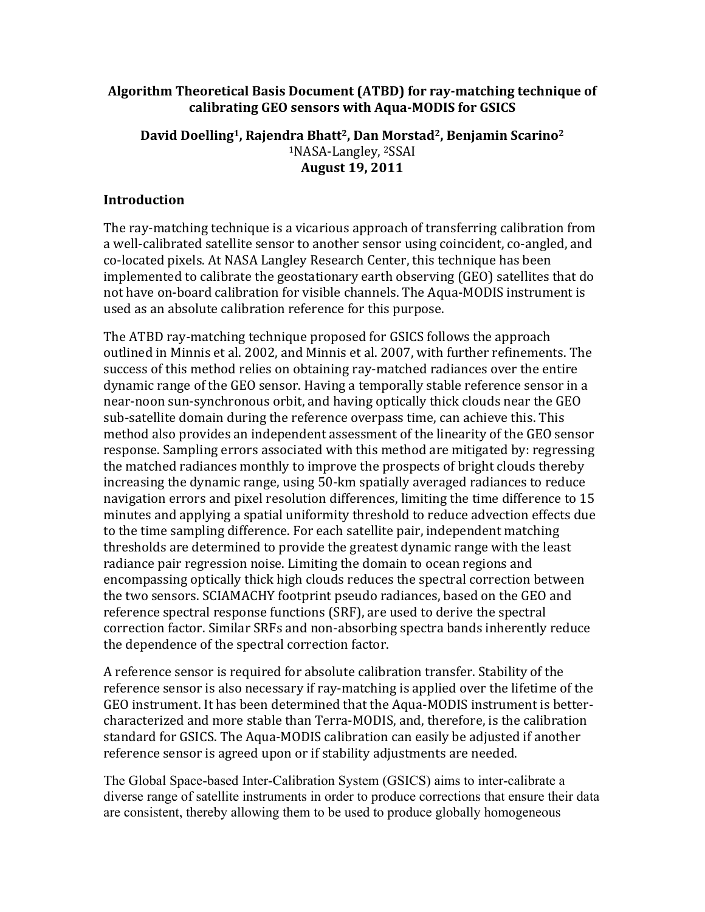## Algorithm Theoretical Basis Document (ATBD) for ray-matching technique of calibrating GEO sensors with Aqua-MODIS for GSICS

### David Doelling<sup>1</sup>, Rajendra Bhatt<sup>2</sup>, Dan Morstad<sup>2</sup>, Benjamin Scarino<sup>2</sup> <sup>1</sup>NASA-Langley,<sup>2</sup>SSAI **August\*19,\*2011**

### **Introduction**

The ray-matching technique is a vicarious approach of transferring calibration from. a.well-calibrated satellite sensor to another sensor using coincident, co-angled, and. co-located pixels. At NASA Langley Research Center, this technique has been. implemented to calibrate the geostationary earth observing (GEO) satellites that do. not have on-board calibration for visible channels. The Aqua-MODIS instrument is used as an absolute calibration reference for this purpose.

The ATBD ray-matching technique proposed for GSICS follows the approach. outlined in Minnis et al. 2002, and Minnis et al. 2007, with further refinements. The success of this method relies on obtaining ray-matched radiances over the entire. dynamic range of the GEO sensor. Having a temporally stable reference sensor in a near-noon sun-synchronous orbit, and having optically thick clouds near the GEO. sub-satellite domain during the reference overpass time, can achieve this. This method also provides an independent assessment of the linearity of the GEO sensor response. Sampling errors associated with this method are mitigated by: regressing the matched radiances monthly to improve the prospects of bright clouds thereby. increasing the dynamic range, using 50-km spatially averaged radiances to reduce. navigation errors and pixel resolution differences, limiting the time difference to 15 minutes and applying a spatial uniformity threshold to reduce advection effects due. to. the time sampling difference. For each satellite pair, independent matching. thresholds are determined to provide the greatest dynamic range with the least radiance pair regression noise. Limiting the domain to ocean regions and encompassing optically thick high clouds reduces the spectral correction between. the two sensors. SCIAMACHY footprint pseudo radiances, based on the GEO and reference spectral response functions (SRF), are used to derive the spectral correction factor. Similar SRFs and non-absorbing spectra bands inherently reduce the dependence of the spectral correction factor.

A reference sensor is required for absolute calibration transfer. Stability of the. reference sensor is also necessary if ray-matching is applied over the lifetime of the. GEO instrument. It has been determined that the Aqua-MODIS instrument is bettercharacterized and more stable than Terra-MODIS, and, therefore, is the calibration standard for GSICS. The Aqua-MODIS calibration can easily be adjusted if another reference sensor is agreed upon or if stability adjustments are needed.

The Global Space-based Inter-Calibration System (GSICS) aims to inter-calibrate a diverse range of satellite instruments in order to produce corrections that ensure their data are consistent, thereby allowing them to be used to produce globally homogeneous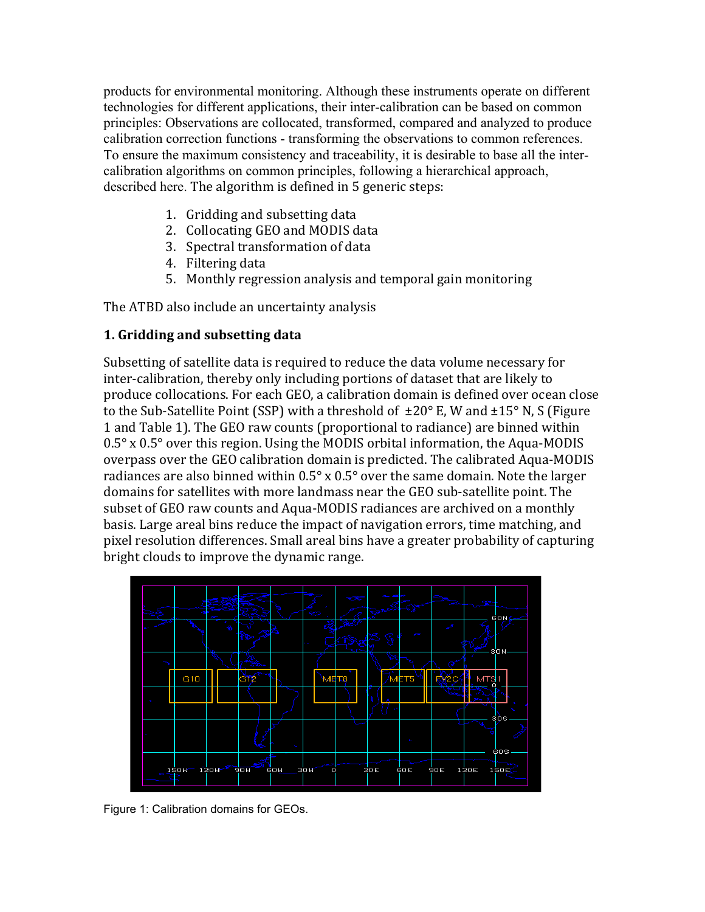products for environmental monitoring. Although these instruments operate on different technologies for different applications, their inter-calibration can be based on common principles: Observations are collocated, transformed, compared and analyzed to produce calibration correction functions - transforming the observations to common references. To ensure the maximum consistency and traceability, it is desirable to base all the intercalibration algorithms on common principles, following a hierarchical approach, described here. The algorithm is defined in 5 generic steps:

- 1. Gridding and subsetting data
- 2. Collocating GEO and MODIS data
- 3. Spectral transformation of data
- 4. Filtering data
- 5. Monthly regression analysis and temporal gain monitoring.

The ATBD also include an uncertainty analysis

# **1. Gridding and subsetting data**

Subsetting of satellite data is required to reduce the data volume necessary for inter-calibration, thereby only including portions of dataset that are likely to. produce collocations. For each GEO, a calibration domain is defined over ocean close to the Sub-Satellite Point (SSP) with a threshold of  $\pm 20^{\circ}$  E, W and  $\pm 15^{\circ}$  N, S (Figure. 1 and Table 1). The GEO raw counts (proportional to radiance) are binned within.  $0.5^\circ$  x  $0.5^\circ$  over this region. Using the MODIS orbital information, the Aqua-MODIS overpass over the GEO calibration domain is predicted. The calibrated Aqua-MODIS radiances are also binned within  $0.5^\circ$  x  $0.5^\circ$  over the same domain. Note the larger domains for satellites with more landmass near the GEO sub-satellite point. The. subset of GEO raw counts and Aqua-MODIS radiances are archived on a monthly basis. Large areal bins reduce the impact of navigation errors, time matching, and pixel resolution differences. Small areal bins have a greater probability of capturing bright clouds to improve the dynamic range.



Figure 1: Calibration domains for GEOs.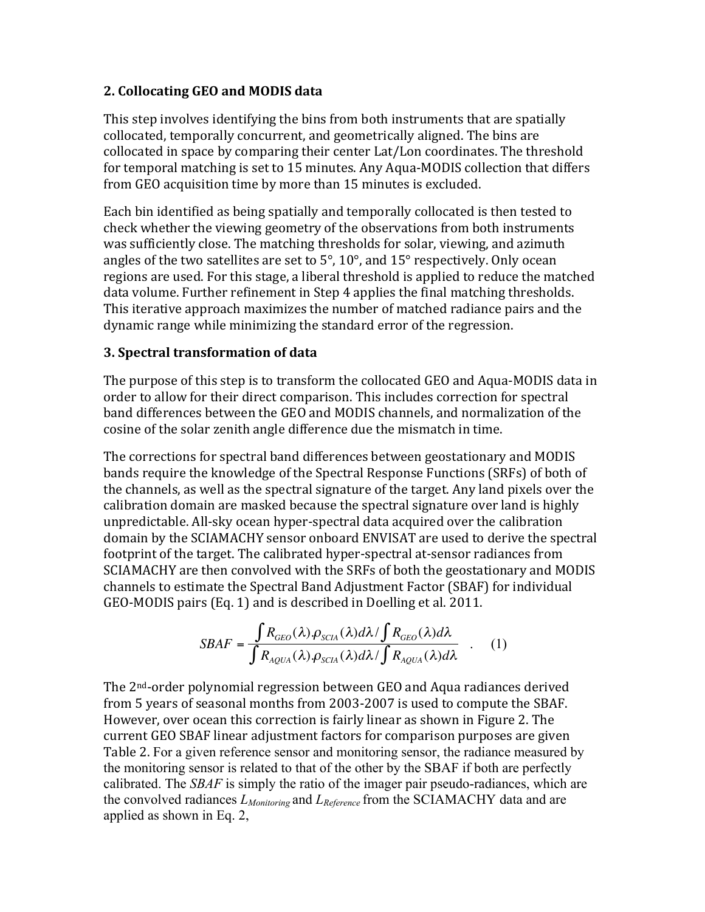# **2.\*Collocating GEO\*and\*MODIS\*data**

This step involves identifying the bins from both instruments that are spatially. collocated, temporally concurrent, and geometrically aligned. The bins are. collocated in space by comparing their center Lat/Lon coordinates. The threshold for temporal matching is set to 15 minutes. Any Aqua-MODIS collection that differs from GEO acquisition time by more than 15 minutes is excluded.

Each bin. identified as being spatially and temporally collocated is then tested to. check whether the viewing geometry of the observations from both instruments. was sufficiently close. The matching thresholds for solar, viewing, and azimuth. angles of the two satellites are set to  $5^{\circ}$ , 10°, and 15° respectively. Only ocean regions are used. For this stage, a liberal threshold is applied to reduce the matched data volume. Further refinement in Step 4 applies the final matching thresholds. This iterative approach maximizes the number of matched radiance pairs and the dynamic range while minimizing the standard error of the regression.

# **3. Spectral transformation of data**

The purpose of this step is to transform the collocated GEO and Aqua-MODIS data in. order to allow for their direct comparison. This includes correction for spectral band differences between the GEO and MODIS channels, and normalization of the cosine of the solar zenith angle difference due the mismatch in time.

The corrections for spectral band differences between geostationary and MODIS. bands require the knowledge of the Spectral Response Functions (SRFs) of both of. the channels, as well as the spectral signature of the target. Any land pixels over the calibration domain are masked because the spectral signature over land is highly. unpredictable. All-sky ocean hyper-spectral data acquired over the calibration domain.by.the.SCIAMACHY sensor.onboard.ENVISAT are used to derive the spectral. footprint of the target. The calibrated hyper-spectral at-sensor radiances from. SCIAMACHY are then convolved with the SRFs of both the geostationary and MODIS channels to estimate the Spectral Band Adjustment Factor (SBAF) for individual GEO-MODIS pairs (Eq. 1) and is described in Doelling et al. 2011.

$$
SBAF = \frac{\int R_{GEO}(\lambda) \cdot \rho_{SCHA}(\lambda) d\lambda / \int R_{GEO}(\lambda) d\lambda}{\int R_{AQUA}(\lambda) \cdot \rho_{SCHA}(\lambda) d\lambda / \int R_{AQUA}(\lambda) d\lambda} \quad . \quad (1)
$$

However, over ocean this correction is fairly linear as shown in Figure 2. The The 2<sup>nd</sup>-order polynomial regression between GEO and Aqua radiances derived. from 5 years of seasonal months from 2003-2007 is used to compute the SBAF. current GEO SBAF linear adjustment factors for comparison purposes are given. Table 2. For a given reference sensor and monitoring sensor, the radiance measured by the monitoring sensor is related to that of the other by the SBAF if both are perfectly calibrated. The *SBAF* is simply the ratio of the imager pair pseudo-radiances, which are the convolved radiances *LMonitoring* and *LReference* from the SCIAMACHY data and are applied as shown in Eq. 2,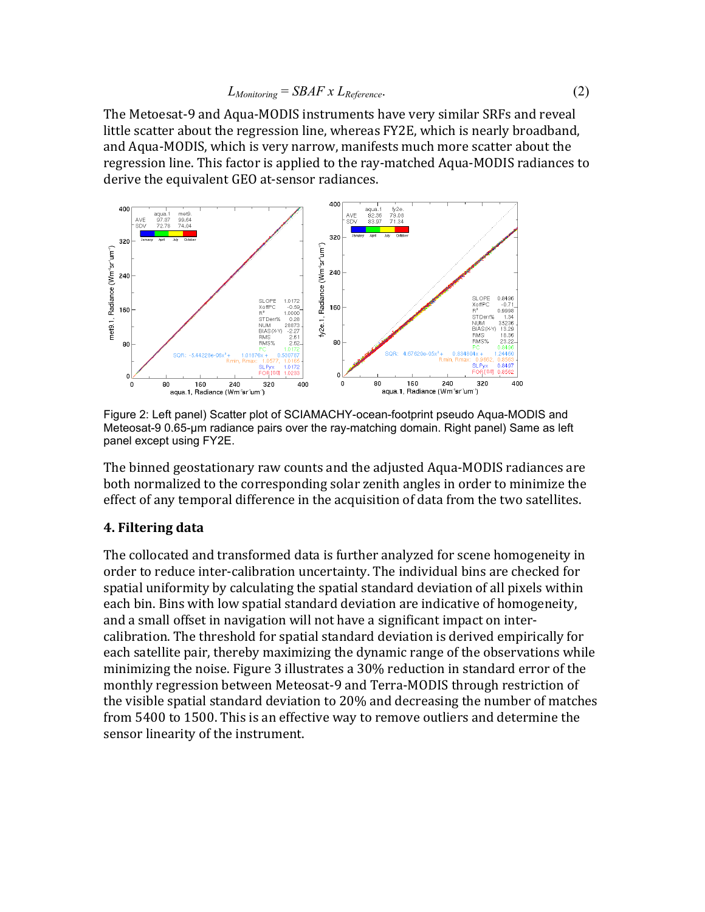The Metoesat-9 and Aqua-MODIS instruments have very similar SRFs and reveal little scatter about the regression line, whereas FY2E, which is nearly broadband, and Aqua-MODIS, which is very narrow, manifests much more scatter about the. regression line. This factor is applied to the ray-matched Aqua-MODIS radiances to derive the equivalent GEO at-sensor radiances.



Figure 2: Left panel) Scatter plot of SCIAMACHY-ocean-footprint pseudo Aqua-MODIS and Meteosat-9 0.65-µm radiance pairs over the ray-matching domain. Right panel) Same as left panel except using FY2E.

The binned geostationary raw counts and the adjusted Aqua-MODIS radiances are. both normalized to the corresponding solar zenith angles in order to minimize the effect of any temporal difference in the acquisition of data from the two satellites.

#### **4. Filtering data**

The collocated and transformed data is further analyzed for scene homogeneity in. order to reduce inter-calibration uncertainty. The individual bins are checked for spatial uniformity by calculating the spatial standard deviation of all pixels within. each bin. Bins with low spatial standard deviation are indicative of homogeneity, and a small offset in navigation will not have a significant impact on intercalibration. The threshold for spatial standard deviation is derived empirically for. each satellite pair, thereby maximizing the dynamic range of the observations while. minimizing the noise. Figure 3 illustrates a 30% reduction in standard error of the monthly regression between Meteosat-9 and Terra-MODIS through restriction of the visible spatial standard deviation to 20% and decreasing the number of matches. from 5400 to 1500. This is an effective way to remove outliers and determine the. sensor linearity of the instrument.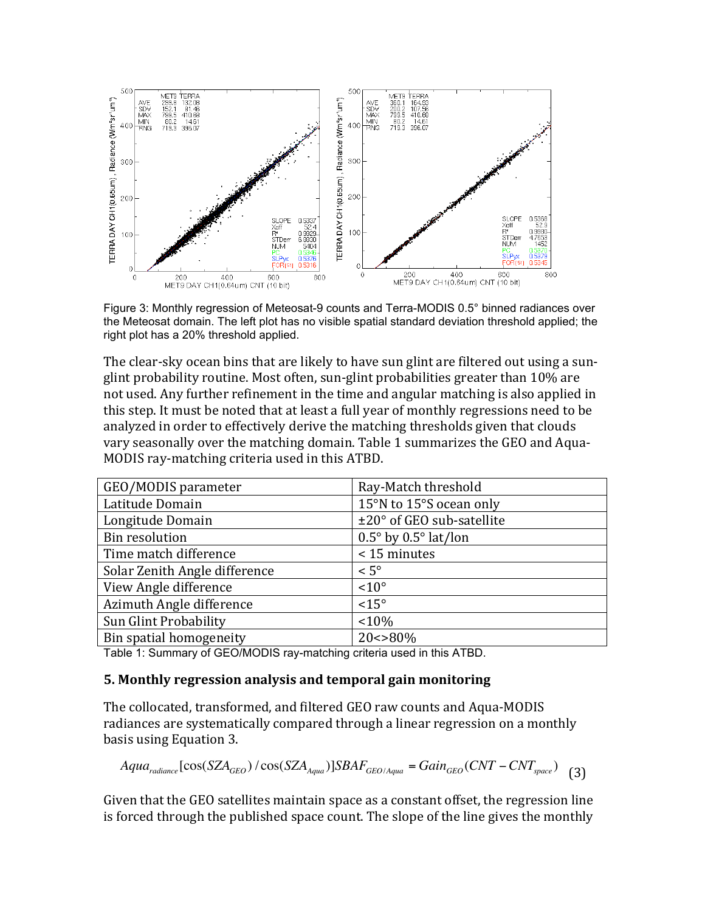

Figure 3: Monthly regression of Meteosat-9 counts and Terra-MODIS 0.5° binned radiances over the Meteosat domain. The left plot has no visible spatial standard deviation threshold applied; the right plot has a 20% threshold applied.

The clear-sky ocean bins that are likely to have sun glint are filtered out using a sunglint probability routine. Most often, sun-glint probabilities greater than 10% are not used. Any further refinement in the time and angular matching is also applied in this step. It must be noted that at least a full year of monthly regressions need to be analyzed in order to effectively derive the matching thresholds given that clouds. vary seasonally over the matching domain. Table 1 summarizes the GEO and Aqua-MODIS ray-matching criteria used in this ATBD.

| GEO/MODIS parameter           | Ray-Match threshold                    |
|-------------------------------|----------------------------------------|
| Latitude Domain               | 15°N to 15°S ocean only                |
| Longitude Domain              | ±20° of GEO sub-satellite              |
| <b>Bin resolution</b>         | $0.5^{\circ}$ by $0.5^{\circ}$ lat/lon |
| Time match difference         | < 15 minutes                           |
| Solar Zenith Angle difference | $< 5^{\circ}$                          |
| View Angle difference         | $< 10^{\circ}$                         |
| Azimuth Angle difference      | $<15^{\circ}$                          |
| Sun Glint Probability         | $< 10\%$                               |
| Bin spatial homogeneity       | $20 < > 80\%$                          |

Table 1: Summary of GEO/MODIS ray-matching criteria used in this ATBD.

#### **5. Monthly regression analysis and temporal gain monitoring**

The collocated, transformed, and filtered GEO raw counts and Aqua-MODIS radiances are systematically compared through a linear regression on a monthly basis using Equation 3.

$$
Aquaradiance [cos(SZAGEO) / cos(SZAAqua)]SBAFGEO/Aqua = GainGEO(CNT - CNTspace)
$$
 (3)

Given that the GEO satellites maintain space as a constant offset, the regression line. is forced through the published space count. The slope of the line gives the monthly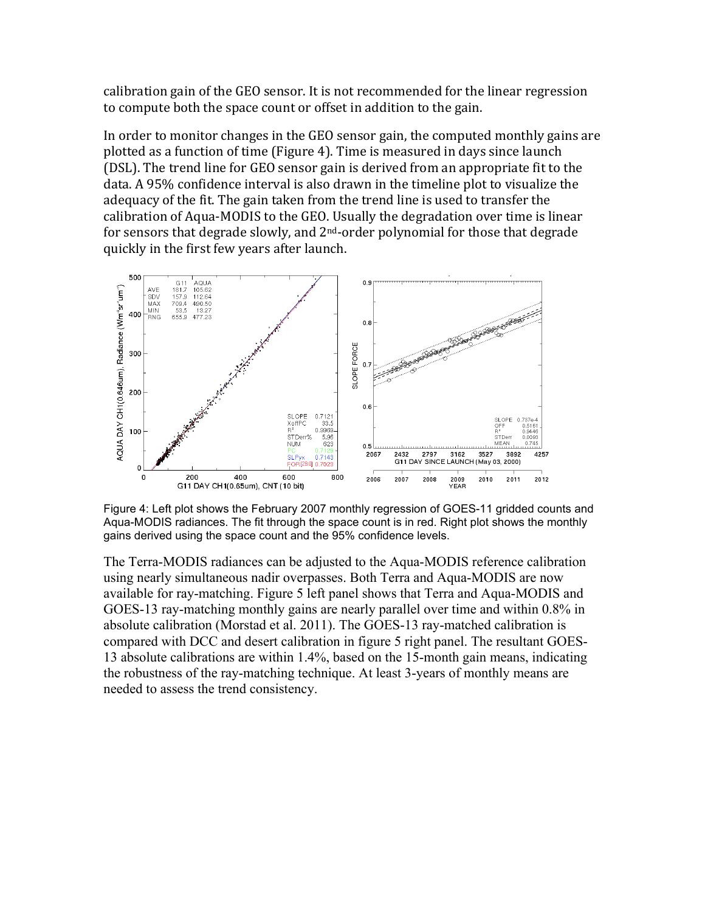calibration gain of the GEO sensor. It is not recommended for the linear regression to compute both the space count or offset in addition to the gain.

In order to monitor changes in the GEO sensor gain, the computed monthly gains are. plotted as a function of time (Figure 4). Time is measured in days since launch. (DSL). The trend line for GEO sensor gain is derived from an appropriate fit to the. data. A 95% confidence interval is also drawn in the timeline plot to visualize the adequacy of the fit. The gain taken from the trend line is used to transfer the. calibration of Aqua-MODIS to the GEO. Usually the degradation over time is linear for sensors that degrade slowly, and  $2<sup>nd</sup>$ -order polynomial for those that degrade quickly in the first few years after launch.



Figure 4: Left plot shows the February 2007 monthly regression of GOES-11 gridded counts and Aqua-MODIS radiances. The fit through the space count is in red. Right plot shows the monthly gains derived using the space count and the 95% confidence levels.

The Terra-MODIS radiances can be adjusted to the Aqua-MODIS reference calibration using nearly simultaneous nadir overpasses. Both Terra and Aqua-MODIS are now available for ray-matching. Figure 5 left panel shows that Terra and Aqua-MODIS and GOES-13 ray-matching monthly gains are nearly parallel over time and within 0.8% in absolute calibration (Morstad et al. 2011). The GOES-13 ray-matched calibration is compared with DCC and desert calibration in figure 5 right panel. The resultant GOES-13 absolute calibrations are within 1.4%, based on the 15-month gain means, indicating the robustness of the ray-matching technique. At least 3-years of monthly means are needed to assess the trend consistency.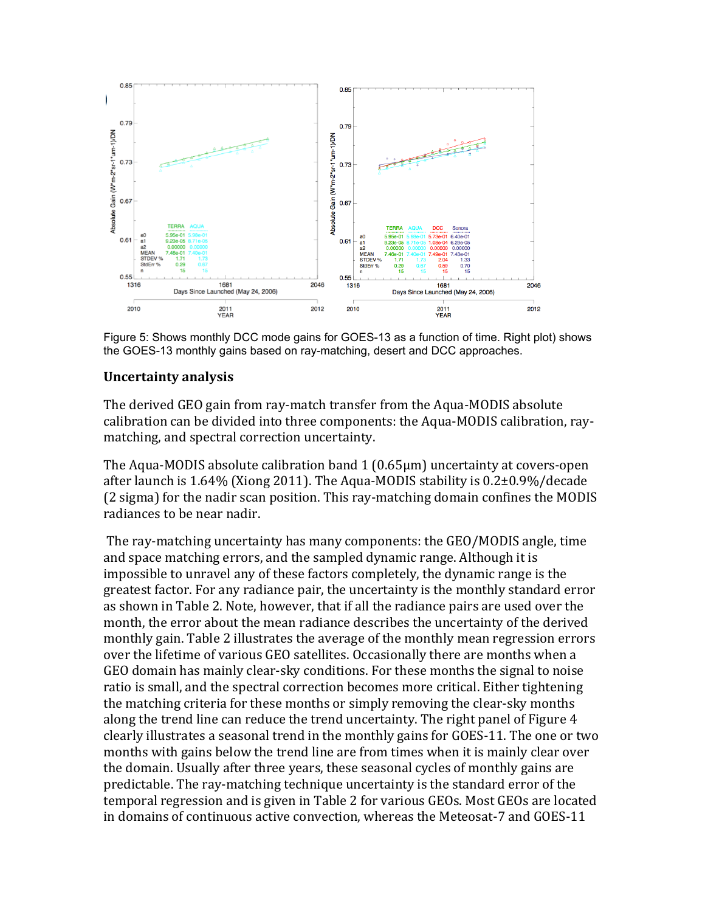

Figure 5: Shows monthly DCC mode gains for GOES-13 as a function of time. Right plot) shows the GOES-13 monthly gains based on ray-matching, desert and DCC approaches.

# **Uncertainty\*analysis**

The derived GEO gain from ray-match transfer from the Aqua-MODIS absolute. calibration can be divided into three components: the Aqua-MODIS calibration, raymatching, and spectral correction uncertainty.

The Aqua-MODIS absolute calibration band  $1(0.65\mu m)$  uncertainty at covers-open. after launch is 1.64% (Xiong 2011). The Aqua-MODIS stability is  $0.2\pm0.9\%$ /decade (2 sigma) for the nadir scan position. This ray-matching domain confines the MODIS radiances to be near nadir.

The ray-matching uncertainty has many components: the GEO/MODIS angle, time. and space matching errors, and the sampled dynamic range. Although it is. impossible to unravel any of these factors completely, the dynamic range is the. greatest factor. For any radiance pair, the uncertainty is the monthly standard error. as shown in Table 2. Note, however, that if all the radiance pairs are used over the. month, the error about the mean radiance describes the uncertainty of the derived monthly gain. Table 2 illustrates the average of the monthly mean regression errors. over the lifetime of various GEO satellites. Occasionally there are months when a GEO domain has mainly clear-sky conditions. For these months the signal to noise. ratio is small, and the spectral correction becomes more critical. Either tightening. the matching criteria for these months or simply removing the clear-sky months along the trend line can reduce the trend uncertainty. The right panel of Figure 4 clearly illustrates a seasonal trend in the monthly gains for GOES-11. The one or two. months with gains below the trend line are from times when it is mainly clear over. the domain. Usually after three years, these seasonal cycles of monthly gains are. predictable. The ray-matching technique uncertainty is the standard error of the. temporal regression and is given in Table 2 for various GEOs. Most GEOs are located in domains of continuous active convection, whereas the Meteosat-7 and GOES-11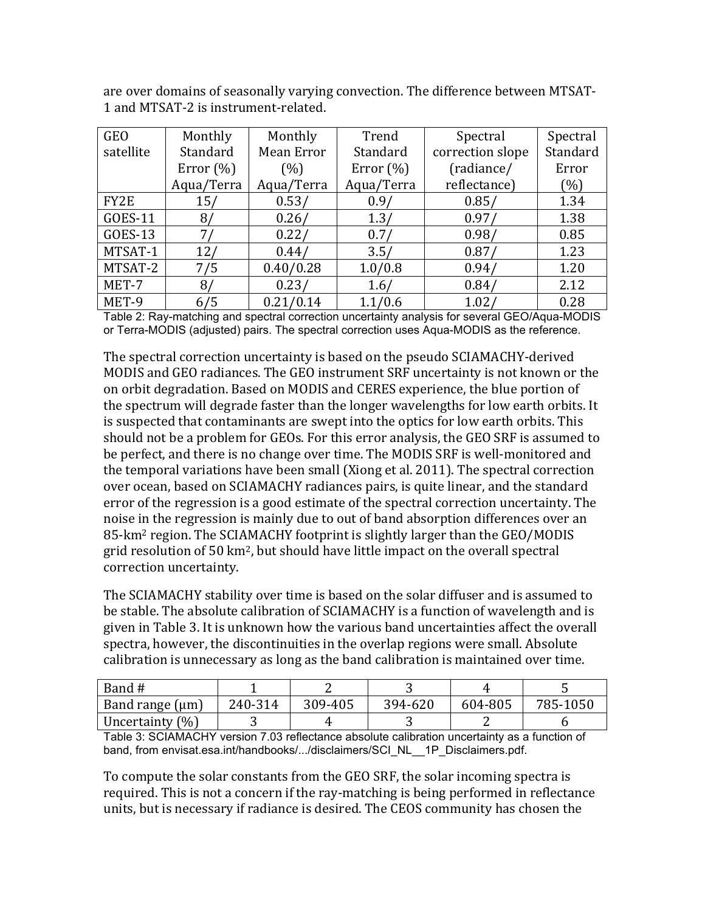are over domains of seasonally varying convection. The difference between MTSAT-1 and MTSAT-2 is instrument-related.

| <b>GEO</b> | Monthly       | Monthly<br>Trend |              | Spectral          | Spectral |
|------------|---------------|------------------|--------------|-------------------|----------|
| satellite  | Standard      | Mean Error       | Standard     | correction slope  | Standard |
|            | Error $(\% )$ | (%)              | Error $(\%)$ | (radiance/        | Error    |
|            | Aqua/Terra    | Aqua/Terra       | Aqua/Terra   | reflectance)      | (%)      |
| FY2E       | 15/           | 0.53/            | 0.9/         | 0.85/             | 1.34     |
| GOES-11    | 8/            | 0.26/            | 1.3/         | 0.97/             | 1.38     |
| GOES-13    | 71            | 0.22/            | 0.7/         | 0.98/             | 0.85     |
| MTSAT-1    | 12/           | 0.44/            | 3.5/         | 0.87/             | 1.23     |
| MTSAT-2    | 7/5           | 0.40/0.28        | 1.0/0.8      | 0.94/             | 1.20     |
| MET-7      | 8/            | 0.23/            | 1.6/         | 0.84/             | 2.12     |
| MET-9      | 6/5           | 0.21/0.14        | 1.1/0.6      | 1.02 <sub>l</sub> | 0.28     |

Table 2: Ray-matching and spectral correction uncertainty analysis for several GEO/Aqua-MODIS or Terra-MODIS (adjusted) pairs. The spectral correction uses Aqua-MODIS as the reference.

The spectral correction uncertainty is based on the pseudo SCIAMACHY-derived. MODIS and GEO radiances. The GEO instrument SRF uncertainty is not known or the. on orbit degradation. Based on MODIS and CERES experience, the blue portion of the spectrum will degrade faster than the longer wavelengths for low earth orbits. It is suspected that contaminants are swept into the optics for low earth orbits. This. should not be a problem for GEOs. For this error analysis, the GEO SRF is assumed to be perfect, and there is no change over time. The MODIS SRF is well-monitored and the temporal variations have been small (Xiong et al. 2011). The spectral correction over ocean, based on SCIAMACHY radiances pairs, is quite linear, and the standard error of the regression is a good estimate of the spectral correction uncertainty. The. noise in the regression is mainly due to out of band absorption differences over an 85-km<sup>2</sup> region. The SCIAMACHY footprint is slightly larger than the GEO/MODIS grid resolution of 50 km<sup>2</sup>, but should have little impact on the overall spectral correction uncertainty.

The SCIAMACHY stability over time is based on the solar diffuser and is assumed to be stable. The absolute calibration of SCIAMACHY is a function of wavelength and is. given in Table 3. It is unknown how the various band uncertainties affect the overall spectra, however, the discontinuities in the overlap regions were small. Absolute. calibration is unnecessary as long as the band calibration is maintained over time.

| Band #               |         |         |         |         |          |
|----------------------|---------|---------|---------|---------|----------|
| Band range $(\mu m)$ | 240-314 | 309-405 | 394-620 | 604-805 | 785-1050 |
| Uncertainty $(\%)$   |         |         |         |         |          |

Table 3: SCIAMACHY version 7.03 reflectance absolute calibration uncertainty as a function of band, from envisat.esa.int/handbooks/.../disclaimers/SCI\_NL\_\_1P\_Disclaimers.pdf.

To compute the solar constants from the GEO SRF, the solar incoming spectra is. required. This is not a concern if the ray-matching is being performed in reflectance. units, but is necessary if radiance is desired. The CEOS community has chosen the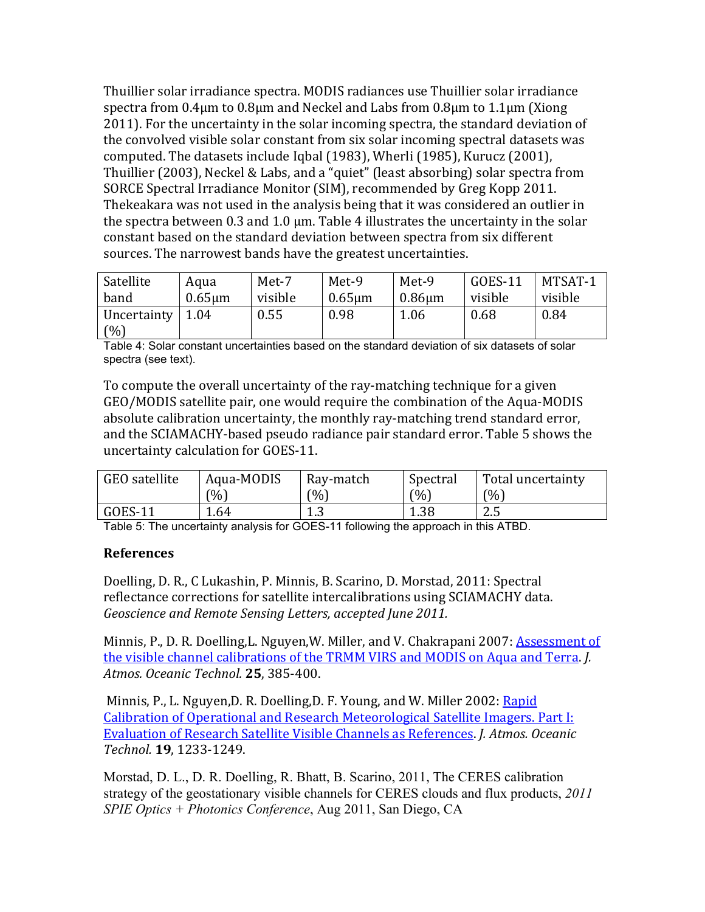Thuillier solar irradiance spectra. MODIS radiances use Thuillier solar irradiance spectra from  $0.4\mu$ m to  $0.8\mu$ m and Neckel and Labs from  $0.8\mu$ m to  $1.1\mu$ m (Xiong. 2011). For the uncertainty in the solar incoming spectra, the standard deviation of the convolved visible solar constant from six solar incoming spectral datasets was. computed. The datasets include Iqbal (1983), Wherli (1985), Kurucz (2001), Thuillier (2003), Neckel & Labs, and a "quiet" (least absorbing) solar spectra from. SORCE Spectral Irradiance Monitor (SIM), recommended by Greg Kopp 2011. Thekeakara was not used in the analysis being that it was considered an outlier in. the spectra between 0.3 and 1.0  $\mu$ m. Table 4 illustrates the uncertainty in the solar. constant based on the standard deviation between spectra from six different. sources. The narrowest bands have the greatest uncertainties.

| Satellite           | Aqua         | Met-7   | Met-9        | Met-9        | GOES-11 | MTSAT-1 |
|---------------------|--------------|---------|--------------|--------------|---------|---------|
| band                | $0.65 \mu m$ | visible | $0.65 \mu m$ | $0.86 \mu m$ | visible | visible |
| Uncertainty<br>(% ) | 1.04         | 0.55    | 0.98         | 1.06         | 0.68    | 0.84    |

Table 4: Solar constant uncertainties based on the standard deviation of six datasets of solar spectra (see text).

To compute the overall uncertainty of the ray-matching technique for a given. GEO/MODIS satellite pair, one would require the combination of the Aqua-MODIS absolute calibration uncertainty, the monthly ray-matching trend standard error, and the SCIAMACHY-based pseudo radiance pair standard error. Table 5 shows the uncertainty calculation for GOES-11.

| GEO satellite | Aqua-MODIS | Ray-match | Spectral | Total uncertainty |
|---------------|------------|-----------|----------|-------------------|
|               | (9/6)      | $^{6}$    | (0/0)    | (0/0)             |
| $GOES-11$     | ـ 64.      | ل. 1      | 1.38     | 2.5               |

Table 5: The uncertainty analysis for GOES-11 following the approach in this ATBD.

## **References**

Doelling, D. R., C Lukashin, P. Minnis, B. Scarino, D. Morstad, 2011: Spectral. reflectance corrections for satellite intercalibrations using SCIAMACHY data. *Geoscience and Remote Sensing Letters, accepted June 2011.* 

Minnis, P., D. R. Doelling, L. Nguyen, W. Miller, and V. Chakrapani 2007: **Assessment of** the visible channel calibrations of the TRMM VIRS and MODIS on Aqua and Terra. *J. Atmos.!Oceanic!Technol.* **25**,.385%400.

Minnis, P., L. Nguyen, D. R. Doelling, D. F. Young, and W. Miller 2002: Rapid. Calibration of Operational and Research Meteorological Satellite Imagers. Part I: Evaluation of Research Satellite Visible Channels as References. *J. Atmos. Oceanic*  $Technol. 19, 1233-1249.$ 

Morstad, D. L., D. R. Doelling, R. Bhatt, B. Scarino, 2011, The CERES calibration strategy of the geostationary visible channels for CERES clouds and flux products, *2011 SPIE Optics + Photonics Conference*, Aug 2011, San Diego, CA